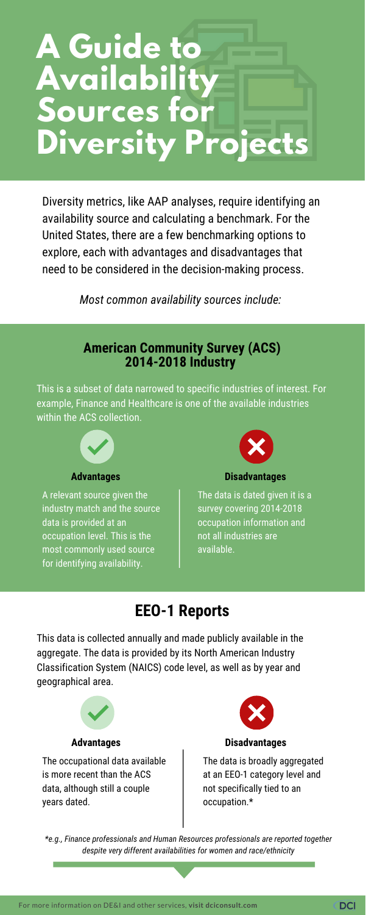# **A Guide to Availability Sources for Diversity Projects**

Diversity metrics, like AAP analyses, require identifying an availability source and calculating a benchmark. For the United States, there are a few benchmarking options to explore, each with advantages and disadvantages that need to be considered in the decision-making process.

This is a subset of data narrowed to specific industries of interest. For example, Finance and Healthcare is one of the available industries within the ACS collection.



This data is collected annually and made publicly available in the aggregate. The data is provided by its North American Industry Classification System (NAICS) code level, as well as by year and geographical area.



A relevant source given the industry match and the source data is provided at an occupation level. This is the most commonly used source for identifying availability.



The data is dated given it is a survey covering 2014-2018 occupation information and not all industries are available.

### **American Community Survey (ACS) 2014-2018 Industry**

*[M](http://dciconsult.com/resources)ost common availability sources include:*

The occupational data available is more recent than the ACS data, although still a couple years dated.



The data is broadly aggregated at an EEO-1 category level and not specifically tied to an occupation.\*

## **EEO-1 Reports**

#### **Advantages Disadvantages**

#### **Advantages Disadvantages**

*\*e.g., Finance professionals and Human Resources professionals are reported together despite very different availabilities for women and race/ethnicity*